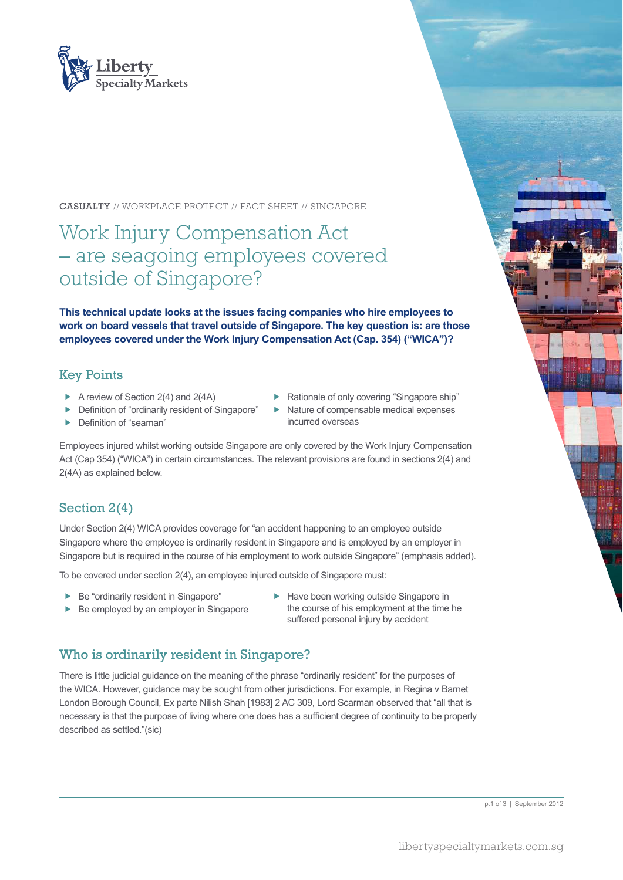

#### CASUALTY // WORKPLACE PROTECT // FACT SHEET // SINGAPORE

# Work Injury Compensation Act – are seagoing employees covered outside of Singapore?

**This technical update looks at the issues facing companies who hire employees to work on board vessels that travel outside of Singapore. The key question is: are those employees covered under the Work Injury Compensation Act (Cap. 354) ("WICA")?**

#### Key Points

- A review of Section 2(4) and  $2(4A)$
- $\blacktriangleright$  Definition of "ordinarily resident of Singapore"
- Definition of "seaman"
- $\blacktriangleright$  Rationale of only covering "Singapore ship"
	- Nature of compensable medical expenses incurred overseas

Employees injured whilst working outside Singapore are only covered by the Work Injury Compensation Act (Cap 354) ("WICA") in certain circumstances. The relevant provisions are found in sections 2(4) and 2(4A) as explained below.

## Section 2(4)

Under Section 2(4) WICA provides coverage for "an accident happening to an employee outside Singapore where the employee is ordinarily resident in Singapore and is employed by an employer in Singapore but is required in the course of his employment to work outside Singapore" (emphasis added).

To be covered under section 2(4), an employee injured outside of Singapore must:

- $\blacktriangleright$  Be "ordinarily resident in Singapore"
- $\blacktriangleright$  Be employed by an employer in Singapore
- $\blacktriangleright$  Have been working outside Singapore in the course of his employment at the time he suffered personal injury by accident

#### Who is ordinarily resident in Singapore?

There is little judicial guidance on the meaning of the phrase "ordinarily resident" for the purposes of the WICA. However, guidance may be sought from other jurisdictions. For example, in Regina v Barnet London Borough Council, Ex parte Nilish Shah [1983] 2 AC 309, Lord Scarman observed that "all that is necessary is that the purpose of living where one does has a sufficient degree of continuity to be properly described as settled."(sic)

p.1 of 3 | September 2012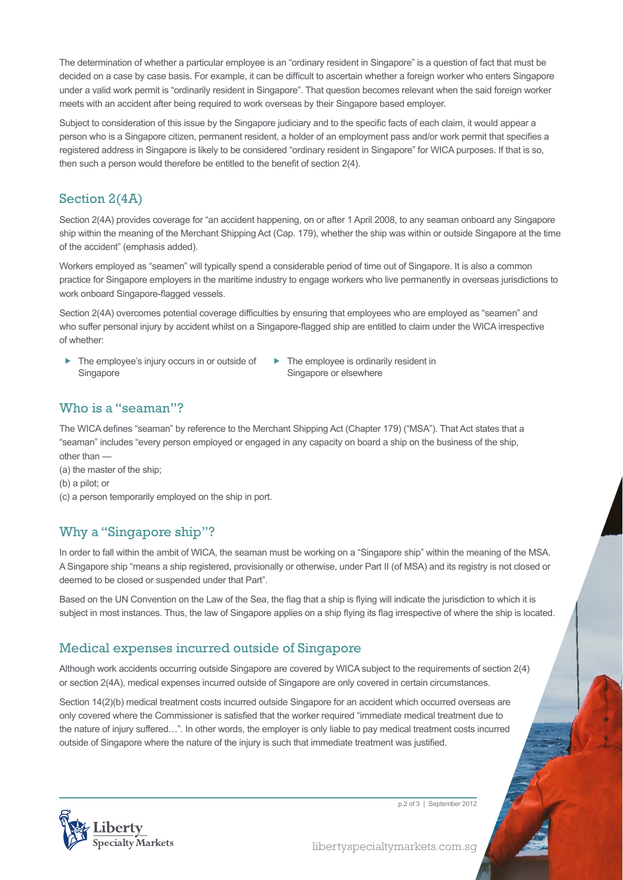The determination of whether a particular employee is an "ordinary resident in Singapore" is a question of fact that must be decided on a case by case basis. For example, it can be difficult to ascertain whether a foreign worker who enters Singapore under a valid work permit is "ordinarily resident in Singapore". That question becomes relevant when the said foreign worker meets with an accident after being required to work overseas by their Singapore based employer.

Subject to consideration of this issue by the Singapore judiciary and to the specific facts of each claim, it would appear a person who is a Singapore citizen, permanent resident, a holder of an employment pass and/or work permit that specifies a registered address in Singapore is likely to be considered "ordinary resident in Singapore" for WICA purposes. If that is so, then such a person would therefore be entitled to the benefit of section 2(4).

# Section 2(4A)

Section 2(4A) provides coverage for "an accident happening, on or after 1 April 2008, to any seaman onboard any Singapore ship within the meaning of the Merchant Shipping Act (Cap. 179), whether the ship was within or outside Singapore at the time of the accident" (emphasis added).

Workers employed as "seamen" will typically spend a considerable period of time out of Singapore. It is also a common practice for Singapore employers in the maritime industry to engage workers who live permanently in overseas jurisdictions to work onboard Singapore-flagged vessels.

Section 2(4A) overcomes potential coverage difficulties by ensuring that employees who are employed as "seamen" and who suffer personal injury by accident whilst on a Singapore-flagged ship are entitled to claim under the WICA irrespective of whether:

- The employee's injury occurs in or outside of **Singapore**
- $\blacktriangleright$  The employee is ordinarily resident in Singapore or elsewhere

### Who is a "seaman"?

The WICA defines "seaman" by reference to the Merchant Shipping Act (Chapter 179) ("MSA"). That Act states that a "seaman" includes "every person employed or engaged in any capacity on board a ship on the business of the ship, other than —

(a) the master of the ship;

- (b) a pilot; or
- (c) a person temporarily employed on the ship in port.

#### Why a "Singapore ship"?

In order to fall within the ambit of WICA, the seaman must be working on a "Singapore ship" within the meaning of the MSA. A Singapore ship "means a ship registered, provisionally or otherwise, under Part II (of MSA) and its registry is not closed or deemed to be closed or suspended under that Part".

Based on the UN Convention on the Law of the Sea, the flag that a ship is flying will indicate the jurisdiction to which it is subject in most instances. Thus, the law of Singapore applies on a ship flying its flag irrespective of where the ship is located.

## Medical expenses incurred outside of Singapore

Although work accidents occurring outside Singapore are covered by WICA subject to the requirements of section 2(4) or section 2(4A), medical expenses incurred outside of Singapore are only covered in certain circumstances.

Section 14(2)(b) medical treatment costs incurred outside Singapore for an accident which occurred overseas are only covered where the Commissioner is satisfied that the worker required "immediate medical treatment due to the nature of injury suffered…". In other words, the employer is only liable to pay medical treatment costs incurred outside of Singapore where the nature of the injury is such that immediate treatment was justified.